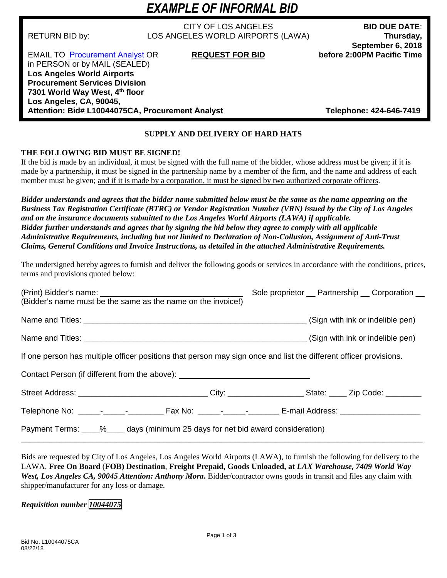# *EXAMPLE OF INFORMAL BID*

CITY OF LOS ANGELES **BID DUE DATE**: RETURN BID by: LOS ANGELES WORLD AIRPORTS (LAWA) **Thursday,** 

**September 6, 2018**<br>before 2:00PM Pacific Time

**EMAIL TO [Procurement Analyst](mailto:%20caguilar@lawa.org) OR REQUEST FOR BID** in PERSON or by MAIL (SEALED) **Los Angeles World Airports Procurement Services Division 7301 World Way West, 4th floor Los Angeles, CA, 90045, Attention: Bid# L10044075CA, Procurement Analyst Telephone: 424-646-7419**

# **SUPPLY AND DELIVERY OF HARD HATS**

# **THE FOLLOWING BID MUST BE SIGNED!**

If the bid is made by an individual, it must be signed with the full name of the bidder, whose address must be given; if it is made by a partnership, it must be signed in the partnership name by a member of the firm, and the name and address of each member must be given; and if it is made by a corporation, it must be signed by two authorized corporate officers.

*Bidder understands and agrees that the bidder name submitted below must be the same as the name appearing on the Business Tax Registration Certificate (BTRC) or Vendor Registration Number (VRN) issued by the City of Los Angeles and on the insurance documents submitted to the Los Angeles World Airports (LAWA) if applicable. Bidder further understands and agrees that by signing the bid below they agree to comply with all applicable Administrative Requirements, including but not limited to Declaration of Non-Collusion, Assignment of Anti-Trust Claims, General Conditions and Invoice Instructions, as detailed in the attached Administrative Requirements.*

The undersigned hereby agrees to furnish and deliver the following goods or services in accordance with the conditions, prices, terms and provisions quoted below:

| (Bidder's name must be the same as the name on the invoice!)                                                      | Sole proprietor __ Partnership __ Corporation __ |  |
|-------------------------------------------------------------------------------------------------------------------|--------------------------------------------------|--|
|                                                                                                                   |                                                  |  |
|                                                                                                                   |                                                  |  |
| If one person has multiple officer positions that person may sign once and list the different officer provisions. |                                                  |  |
| Contact Person (if different from the above): __________________________________                                  |                                                  |  |
| Street Address: _________________________________City: _____________________State: _____ Zip Code: __________     |                                                  |  |
|                                                                                                                   |                                                  |  |
| Payment Terms: ____%_____ days (minimum 25 days for net bid award consideration)                                  |                                                  |  |

Bids are requested by City of Los Angeles, Los Angeles World Airports (LAWA), to furnish the following for delivery to the LAWA, **Free On Board** (**FOB) Destination**, **Freight Prepaid, Goods Unloaded, at** *LAX Warehouse, 7409 World Way West, Los Angeles CA, 90045 Attention: Anthony Mora***.** Bidder/contractor owns goods in transit and files any claim with shipper/manufacturer for any loss or damage.

*Requisition number 10044075*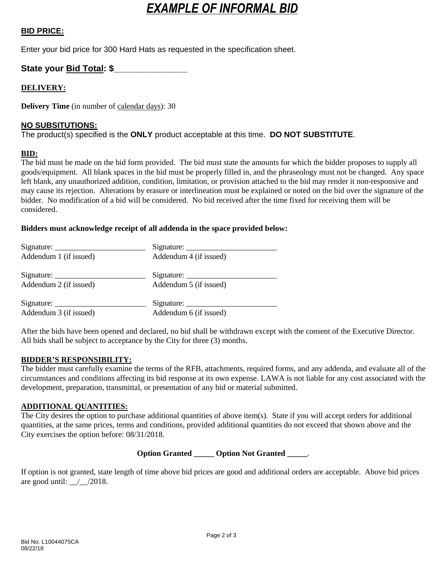# *EXAMPLE OF INFORMAL BID*

# **BID PRICE:**

Enter your bid price for 300 Hard Hats as requested in the specification sheet.

# **State your Bid Total: \$\_\_\_\_\_\_\_\_\_\_\_\_\_\_\_**

# **DELIVERY:**

**Delivery Time** (in number of calendar days): 30

## **NO SUBSITUTIONS:**

The product(s) specified is the **ONLY** product acceptable at this time. **DO NOT SUBSTITUTE**.

## **BID:**

The bid must be made on the bid form provided. The bid must state the amounts for which the bidder proposes to supply all goods/equipment. All blank spaces in the bid must be properly filled in, and the phraseology must not be changed. Any space left blank, any unauthorized addition, condition, limitation, or provision attached to the bid may render it non-responsive and may cause its rejection. Alterations by erasure or interlineation must be explained or noted on the bid over the signature of the bidder. No modification of a bid will be considered. No bid received after the time fixed for receiving them will be considered.

## **Bidders must acknowledge receipt of all addenda in the space provided below:**

| Addendum 1 (if issued) | Addendum 4 (if issued) |
|------------------------|------------------------|
| Signature:             |                        |
| Addendum 2 (if issued) | Addendum 5 (if issued) |
|                        |                        |
| Addendum 3 (if issued) | Addendum 6 (if issued) |

After the bids have been opened and declared, no bid shall be withdrawn except with the consent of the Executive Director. All bids shall be subject to acceptance by the City for three (3) months.

#### **BIDDER'S RESPONSIBILITY:**

The bidder must carefully examine the terms of the RFB, attachments, required forms, and any addenda, and evaluate all of the circumstances and conditions affecting its bid response at its own expense. LAWA is not liable for any cost associated with the development, preparation, transmittal, or presentation of any bid or material submitted.

#### **ADDITIONAL QUANTITIES:**

The City desires the option to purchase additional quantities of above item(s). State if you will accept orders for additional quantities, at the same prices, terms and conditions, provided additional quantities do not exceed that shown above and the City exercises the option before: 08/31/2018.

# **Option Granted \_\_\_\_\_ Option Not Granted \_\_\_\_\_**.

If option is not granted, state length of time above bid prices are good and additional orders are acceptable. Above bid prices are good until:  $\frac{\sqrt{2018}}{2018}$ .